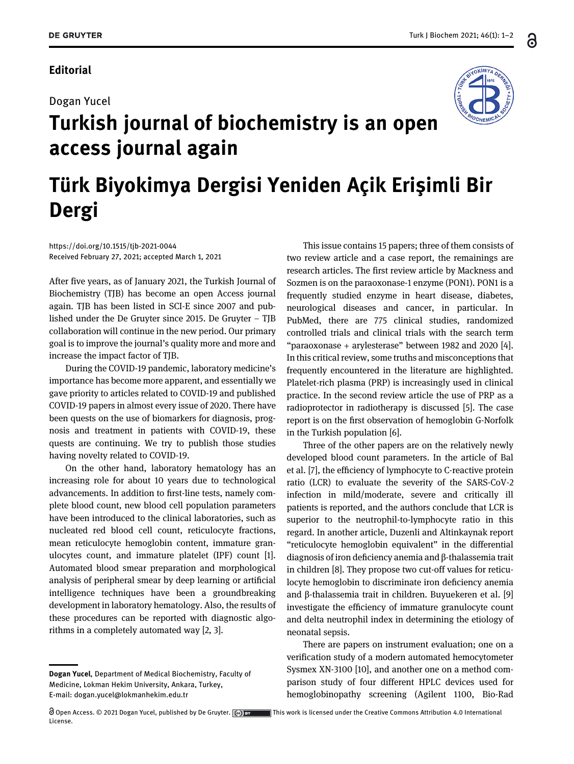### **Editorial**

#### Dogan Yucel



# Turkish journal of biochemistry is an open access journal again

## Türk Biyokimya Dergisi Yeniden Açik Erişimli Bir Dergi

<https://doi.org/10.1515/tjb-2021-0044> Received February 27, 2021; accepted March 1, 2021

After five years, as of January 2021, the Turkish Journal of Biochemistry (TJB) has become an open Access journal again. TJB has been listed in SCI-E since 2007 and published under the De Gruyter since 2015. De Gruyter – TJB collaboration will continue in the new period. Our primary goal is to improve the journal's quality more and more and increase the impact factor of TJB.

During the COVID-19 pandemic, laboratory medicine's importance has become more apparent, and essentially we gave priority to articles related to COVID-19 and published COVID-19 papers in almost every issue of 2020. There have been quests on the use of biomarkers for diagnosis, prognosis and treatment in patients with COVID-19, these quests are continuing. We try to publish those studies having novelty related to COVID-19.

On the other hand, laboratory hematology has an increasing role for about 10 years due to technological advancements. In addition to first-line tests, namely complete blood count, new blood cell population parameters have been introduced to the clinical laboratories, such as nucleated red blood cell count, reticulocyte fractions, mean reticulocyte hemoglobin content, immature granulocytes count, and immature platelet (IPF) count [\[1\]](#page-1-0). Automated blood smear preparation and morphological analysis of peripheral smear by deep learning or artificial intelligence techniques have been a groundbreaking development in laboratory hematology. Also, the results of these procedures can be reported with diagnostic algorithms in a completely automated way [[2, 3](#page-1-1)].

This issue contains 15 papers; three of them consists of two review article and a case report, the remainings are research articles. The first review article by Mackness and Sozmen is on the paraoxonase-1 enzyme (PON1). PON1 is a frequently studied enzyme in heart disease, diabetes, neurological diseases and cancer, in particular. In PubMed, there are 775 clinical studies, randomized controlled trials and clinical trials with the search term "paraoxonase + arylesterase" between 1982 and 2020 [[4\]](#page-1-2). In this critical review, some truths and misconceptions that frequently encountered in the literature are highlighted. Platelet-rich plasma (PRP) is increasingly used in clinical practice. In the second review article the use of PRP as a radioprotector in radiotherapy is discussed [\[5\]](#page-1-3). The case report is on the first observation of hemoglobin G-Norfolk in the Turkish population [[6\]](#page-1-4).

Three of the other papers are on the relatively newly developed blood count parameters. In the article of Bal et al. [\[7\]](#page-1-5), the efficiency of lymphocyte to C-reactive protein ratio (LCR) to evaluate the severity of the SARS-CoV-2 infection in mild/moderate, severe and critically ill patients is reported, and the authors conclude that LCR is superior to the neutrophil-to-lymphocyte ratio in this regard. In another article, Duzenli and Altinkaynak report "reticulocyte hemoglobin equivalent" in the differential diagnosis of iron deficiency anemia and β-thalassemia trait in children [\[8](#page-1-6)]. They propose two cut-off values for reticulocyte hemoglobin to discriminate iron deficiency anemia and β-thalassemia trait in children. Buyuekeren et al. [\[9](#page-1-7)] investigate the efficiency of immature granulocyte count and delta neutrophil index in determining the etiology of neonatal sepsis.

There are papers on instrument evaluation; one on a verification study of a modern automated hemocytometer Sysmex XN-3100 [\[10](#page-1-8)], and another one on a method comparison study of four different HPLC devices used for hemoglobinopathy screening (Agilent 1100, Bio-Rad

Dogan Yucel, Department of Medical Biochemistry, Faculty of Medicine, Lokman Hekim University, Ankara, Turkey, E-mail: [dogan.yucel@lokmanhekim.edu.tr](mailto:dogan.yucel@lokmanhekim.edu.tr)